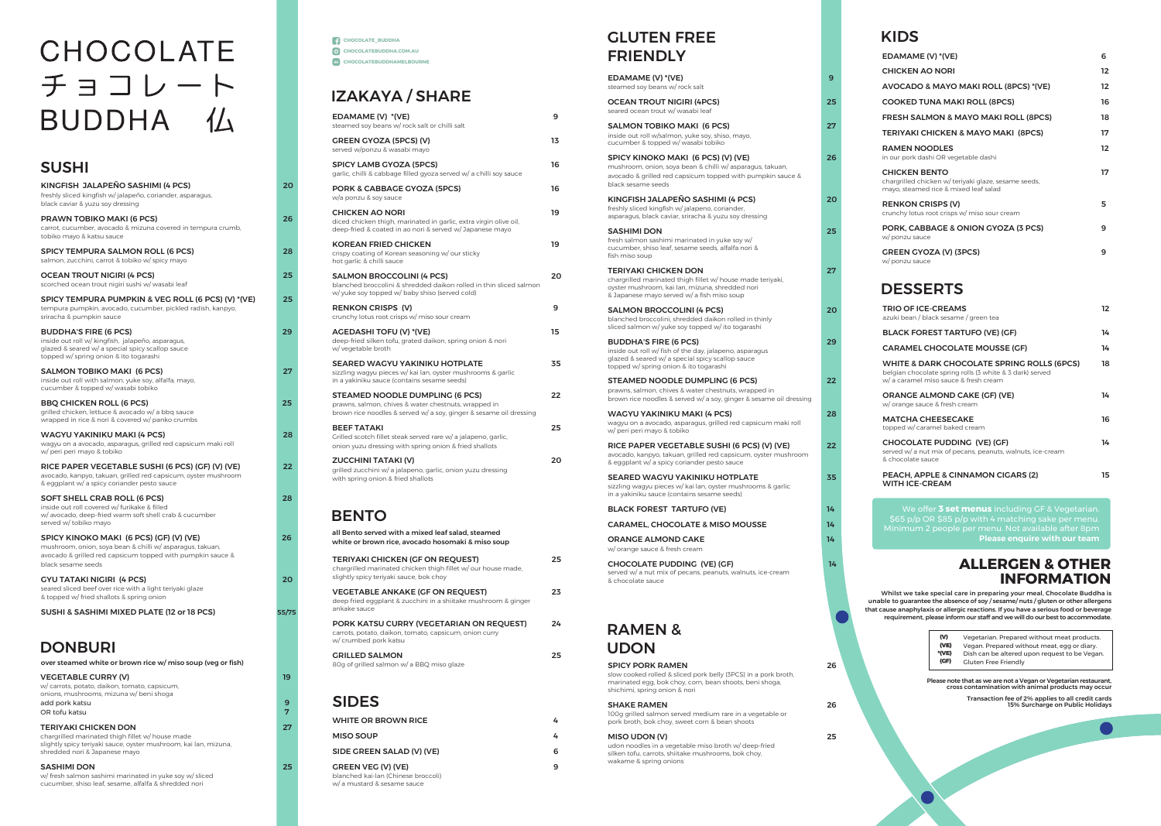w/ fresh salmon sashimi marinated in yuke soy w/ sliced cucumber, shiso leaf, sesame, alfalfa & shredded nori

| over steamed white or brown rice w/ miso soup (veg or fish)                                                                                                                          |    |
|--------------------------------------------------------------------------------------------------------------------------------------------------------------------------------------|----|
| <b>VEGETABLE CURRY (V)</b><br>w/ carrots, potato, daikon, tomato, capsicum,<br>onions, mushrooms, mizuna w/ beni shoga                                                               | 19 |
| add pork katsu<br>OR tofu katsu                                                                                                                                                      | q  |
| <b>TERIYAKI CHICKEN DON</b><br>chargrilled marinated thigh fillet w/ house made<br>slightly spicy teriyaki sauce, oyster mushroom, kai lan, mizuna,<br>shredded nori & Japanese mayo |    |
| <b>SASHIMI DON</b>                                                                                                                                                                   |    |

| KINGFISH JALAPENO SASHIMI (4 PCS)<br>freshly sliced kingfish w/jalapeño, coriander, asparagus,<br>black caviar & yuzu soy dressing                                                       | 20    |
|------------------------------------------------------------------------------------------------------------------------------------------------------------------------------------------|-------|
| PRAWN TOBIKO MAKI (6 PCS)<br>carrot, cucumber, avocado & mizuna covered in tempura crumb,<br>tobiko mayo & katsu sauce                                                                   | 26    |
| SPICY TEMPURA SALMON ROLL (6 PCS)<br>salmon, zucchini, carrot & tobiko w/ spicy mayo                                                                                                     | 28    |
| OCEAN TROUT NIGIRI (4 PCS)<br>scorched ocean trout nigiri sushi w/ wasabi leaf                                                                                                           | 25    |
| SPICY TEMPURA PUMPKIN & VEG ROLL (6 PCS) (V) *(VE)<br>tempura pumpkin, avocado, cucumber, pickled radish, kanpyo,<br>sriracha & pumpkin sauce                                            | 25    |
| <b>BUDDHA'S FIRE (6 PCS)</b><br>inside out roll w/ kingfish, jalapeño, asparagus,<br>glazed & seared w/ a special spicy scallop sauce<br>topped w/ spring onion & ito togarashi          | 29    |
| SALMON TOBIKO MAKI (6 PCS)<br>inside out roll with salmon, yuke soy, alfalfa, mayo,<br>cucumber & topped w/ wasabi tobiko                                                                | 27    |
| BBQ CHICKEN ROLL (6 PCS)<br>grilled chicken, lettuce & avocado w/ a bbq sauce<br>wrapped in rice & nori & covered w/ panko crumbs                                                        | 25    |
| WAGYU YAKINIKU MAKI (4 PCS)<br>wagyu on a avocado, asparagus, grilled red capsicum maki roll<br>w/ peri peri mayo & tobiko                                                               | 28    |
| RICE PAPER VEGETABLE SUSHI (6 PCS) (GF) (V) (VE)<br>avocado, kanpyo, takuan, grilled red capsicum, oyster mushroom<br>& eggplant w/ a spicy coriander pesto sauce                        | 22    |
| SOFT SHELL CRAB ROLL (6 PCS)<br>inside out roll covered w/ furikake & filled<br>w/ avocado, deep-fried warm soft shell crab & cucumber<br>served w/ tobiko mayo                          | 28    |
| SPICY KINOKO MAKI (6 PCS) (GF) (V) (VE)<br>mushroom, onion, soya bean & chilli w/ asparagus, takuan,<br>avocado & grilled red capsicum topped with pumpkin sauce &<br>black sesame seeds | 26    |
| GYU TATAKI NIGIRI  (4 PCS)<br>seared sliced beef over rice with a light teriyaki glaze<br>& topped w/ fried shallots & spring onion                                                      | 20    |
| SUSHI & SASHIMI MIXED PLATE (12 or 18 PCS)                                                                                                                                               | 55/75 |
| DONRI IDI                                                                                                                                                                                |       |

# CHOCOLATE チョコレート BUDDHA 仏

# SUSHI

# DONBURI

## **ALLERGEN & OTHER INFORMATION**

Transaction fee of 2% applies to all credit cards 15% Surcharge on Public Holidays

Whilst we take special care in preparing your meal, Chocolate Buddha is unable to guarantee the absence of soy / sesame/ nuts / gluten or other allergens that cause anaphylaxis or allergic reactions. If you have a serious food or beverage requirement, please inform our staff and we will do our best to accommodate.

# KIDS

**C** CHOCOLATEBUDDHA.COM.AU **CHOCOLATE\_BUDDHA CHOCOLATEBUDDHAMELBOURNE**

| EDAMAME (V) *(VE)                                                                                                     | 6                 |
|-----------------------------------------------------------------------------------------------------------------------|-------------------|
| <b>CHICKEN AO NORI</b>                                                                                                | $12 \overline{ }$ |
| AVOCADO & MAYO MAKI ROLL (8PCS) *(VE)                                                                                 | 12                |
| <b>COOKED TUNA MAKI ROLL (8PCS)</b>                                                                                   | 16                |
| <b>FRESH SALMON &amp; MAYO MAKI ROLL (8PCS)</b>                                                                       | 18                |
| <b>TERIYAKI CHICKEN &amp; MAYO MAKI (8PCS)</b>                                                                        | 17                |
| <b>RAMEN NOODLES</b><br>in our pork dashi OR vegetable dashi                                                          | $12 \overline{ }$ |
| <b>CHICKEN BENTO</b><br>chargrilled chicken w/ teriyaki glaze, sesame seeds,<br>mayo, steamed rice & mixed leaf salad | 17                |
| <b>RENKON CRISPS (V)</b><br>crunchy lotus root crisps w/ miso sour cream                                              | 5                 |
| PORK, CABBAGE & ONION GYOZA (3 PCS)<br>w/ ponzu sauce                                                                 | 9                 |
| <b>GREEN GYOZA (V) (3PCS)</b><br>w/ ponzu sauce                                                                       | 9                 |
| <b>DESSERTS</b>                                                                                                       |                   |
| <b>TRIO OF ICE-CREAMS</b><br>azuki bean / black sesame / green tea                                                    | 12                |
| <b>BLACK FOREST TARTUFO (VE) (GF)</b>                                                                                 | 14                |
| <b>CARAMEL CHOCOLATE MOUSSE (GF)</b>                                                                                  | 14                |
|                                                                                                                       |                   |

| <b>WHITE &amp; DARK CHOCOLATE SPRING ROLLS (6PCS)</b><br>belgian chocolate spring rolls (3 white & 3 dark) served<br>w/a caramel miso sauce & fresh cream | 18  |
|-----------------------------------------------------------------------------------------------------------------------------------------------------------|-----|
| <b>ORANGE ALMOND CAKE (GF) (VE)</b><br>w/orange sauce & fresh cream                                                                                       | 14  |
| <b>MATCHA CHEESECAKE</b><br>topped w/ caramel baked cream                                                                                                 | 16  |
| <b>CHOCOLATE PUDDING (VE) (GF)</b><br>served w/ a nut mix of pecans, peanuts, walnuts, ice-cream<br>& chocolate sauce                                     | 14  |
| PEACH, APPLE & CINNAMON CIGARS (2)                                                                                                                        | 15. |

WITH ICE-CREAM

Please note that as we are not a Vegan or Vegetarian restaurant, cross contamination with animal products may occur

Vegetarian. Prepared without meat products. Vegan. Prepared without meat, egg or diary. Dish can be altered upon request to be Vegan. Gluten Free Friendly

| ൜     |  |
|-------|--|
| (VE   |  |
| °(VE) |  |
| (GF)  |  |

# IZAKAYA / SHARE

GRILLED SALMON 25 80g of grilled salmon w/ a BBQ miso glaze

| EDAMAME (V) *(VE)<br>steamed soy beans w/ rock salt or chilli salt                                                                                            | 9  |
|---------------------------------------------------------------------------------------------------------------------------------------------------------------|----|
| <b>GREEN GYOZA (5PCS) (V)</b><br>served w/ponzu & wasabi mayo                                                                                                 | 13 |
| <b>SPICY LAMB GYOZA (5PCS)</b><br>garlic, chilli & cabbage filled gyoza served w/ a chilli soy sauce                                                          | 16 |
| PORK & CABBAGE GYOZA (5PCS)<br>w/a ponzu & soy sauce                                                                                                          | 16 |
| <b>CHICKEN AO NORI</b><br>diced chicken thigh, marinated in garlic, extra virgin olive oil,<br>deep-fried & coated in ao nori & served w/ Japanese mayo       | 19 |
| <b>KOREAN FRIED CHICKEN</b><br>crispy coating of Korean seasoning w/ our sticky<br>hot garlic & chilli sauce                                                  | 19 |
| <b>SALMON BROCCOLINI (4 PCS)</b><br>blanched broccolini & shredded daikon rolled in thin sliced salmon<br>w/ yuke soy topped w/ baby shiso (served cold)      | 20 |
| <b>RENKON CRISPS (V)</b><br>crunchy lotus root crisps w/ miso sour cream                                                                                      | 9  |
| <b>AGEDASHI TOFU (V) *(VE)</b><br>deep-fried silken tofu, grated daikon, spring onion & nori<br>w/ vegetable broth                                            | 15 |
| <b>SEARED WAGYU YAKINIKU HOTPLATE</b><br>sizzling wagyu pieces w/ kai lan, oyster mushrooms & garlic<br>in a yakiniku sauce (contains sesame seeds)           | 35 |
| STEAMED NOODLE DUMPLING (6 PCS)<br>prawns, salmon, chives & water chestnuts, wrapped in<br>brown rice noodles & served w/ a soy, ginger & sesame oil dressing | 22 |
| <b>BEEF TATAKI</b><br>Grilled scotch fillet steak served rare w/ a jalapeno, garlic,<br>onion yuzu dressing with spring onion & fried shallots                | 25 |
| <b>ZUCCHINI TATAKI (V)</b><br>grilled zucchini w/ a jalapeno, garlic, onion yuzu dressing<br>with spring onion & fried shallots                               | 20 |
|                                                                                                                                                               |    |

# GLUTEN FREE FRIENDLY

| EDAMAME (V) * (VE)<br>steamed soy beans w/ rock salt                                                                                                                                       | 9  |
|--------------------------------------------------------------------------------------------------------------------------------------------------------------------------------------------|----|
| <b>OCEAN TROUT NIGIRI (4PCS)</b><br>seared ocean trout w/ wasabi leaf                                                                                                                      | 25 |
| SALMON TOBIKO MAKI (6 PCS)<br>inside out roll w/salmon, yuke soy, shiso, mayo,<br>cucumber & topped w/ wasabi tobiko                                                                       | 27 |
| SPICY KINOKO MAKI (6 PCS) (V) (VE)<br>mushroom, onion, soya bean & chilli w/ asparagus, takuan,<br>avocado & grilled red capsicum topped with pumpkin sauce &<br>black sesame seeds        | 26 |
| KINGFISH JALAPEÑO SASHIMI (4 PCS)<br>freshly sliced kingfish w/jalapeno, coriander,<br>asparagus, black caviar, sriracha & yuzu soy dressing                                               | 20 |
| <b>SASHIMI DON</b><br>fresh salmon sashimi marinated in yuke soy w/<br>cucumber, shiso leaf, sesame seeds, alfalfa nori &<br>fish miso soup                                                | 25 |
| <b>TERIYAKI CHICKEN DON</b><br>chargrilled marinated thigh fillet w/ house made teriyaki,<br>oyster mushroom, kai lan, mizuna, shredded nori<br>& Japanese mayo served w/ a fish miso soup | 27 |
| <b>SALMON BROCCOLINI (4 PCS)</b><br>blanched broccolini, shredded daikon rolled in thinly<br>sliced salmon w/ yuke soy topped w/ ito togarashi                                             | 20 |
| <b>BUDDHA'S FIRE (6 PCS)</b><br>inside out roll w/ fish of the day, jalapeno, asparagus<br>glazed & seared w/ a special spicy scallop sauce<br>topped w/ spring onion & ito togarashi      | 29 |
| STEAMED NOODLE DUMPLING (6 PCS)<br>prawns, salmon, chives & water chestnuts, wrapped in<br>brown rice noodles & served w/ a soy, ginger & sesame oil dressing                              | 22 |
| WAGYU YAKINIKU MAKI (4 PCS)<br>wagyu on a avocado, asparagus, grilled red capsicum maki roll<br>w/ peri peri mayo & tobiko                                                                 | 28 |
| RICE PAPER VEGETABLE SUSHI (6 PCS) (V) (VE)<br>avocado, kanpyo, takuan, grilled red capsicum, oyster mushroom<br>& eggplant w/ a spicy coriander pesto sauce                               | 22 |
| <b>SEARED WAGYU YAKINIKU HOTPLATE</b><br>sizzling wagyu pieces w/ kai lan, oyster mushrooms & garlic<br>in a yakiniku sauce (contains sesame seeds)                                        | 35 |
| <b>BLACK FOREST TARTUFO (VE)</b>                                                                                                                                                           | 14 |
| <b>CARAMEL, CHOCOLATE &amp; MISO MOUSSE</b>                                                                                                                                                | 14 |
| <b>ORANGE ALMOND CAKE</b><br>w/ orange sauce & fresh cream                                                                                                                                 | 14 |
| <b>CHOCOLATE PUDDING (VE) (GF)</b><br>served w/ a nut mix of pecans, peanuts, walnuts, ice-cream<br>& chocolate sauce                                                                      | 14 |
|                                                                                                                                                                                            |    |
| <b>RAMEN&amp;</b><br><b>UDON</b>                                                                                                                                                           |    |
| <b>SPICY PORK RAMEN</b><br>slow cooked rolled & sliced pork belly (3PCS) in a pork broth,<br>marinated egg, bok choy, corn, bean shoots, beni shoga,<br>shichimi, spring onion & nori      | 26 |
| <b>SHAKE RAMEN</b><br>100g grilled salmon served medium rare in a vegetable or<br>pork broth, bok choy, sweet corn & bean shoots                                                           | 26 |
| MISO UDON (V)<br>udon noodles in a vegetable miso broth w/ deep-fried<br>silken tofu, carrots, shiitake mushrooms, bok choy,                                                               | 25 |

wakame & spring onions

# SIDES

| WHITE OR BROWN RICE                                              | 4 |
|------------------------------------------------------------------|---|
| <b>MISO SOUP</b>                                                 | 4 |
| SIDE GREEN SALAD (V) (VE)                                        | 6 |
| <b>GREEN VEG (V) (VE)</b><br>blanched kai-lan (Chinese broccoli) | ą |

w/ a mustard & sesame sauce

# BENTO

| PORK KATSU CURRY (VEGETARIAN ON REQUEST)<br>carrots, potato, daikon, tomato, capsicum, onion curry<br>w/ crumbed pork katsu | つム |
|-----------------------------------------------------------------------------------------------------------------------------|----|
| <b>VEGETABLE ANKAKE (GF ON REQUEST)</b><br>deep fried eggplant & zucchini in a shiitake mushroom & ginger<br>ankake sauce   | つろ |
| slightly spicy teriyaki sauce, bok choy                                                                                     |    |

TERIYAKI CHICKEN (GF ON REQUEST) 25 chargrilled marinated chicken thigh fillet w/ our house made, all Bento served with a mixed leaf salad, steamed white or brown rice, avocado hosomaki & miso soup

We offer **3 set menus** including GF & Vegetarian. \$65 p/p OR \$85 p/p with 4 matching sake per menu. Minimum 2 people per menu. Not available after 8pm **Please enquire with our team**